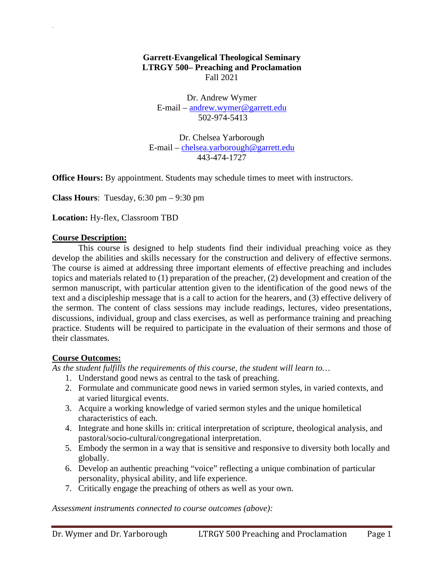#### **Garrett-Evangelical Theological Seminary LTRGY 500– Preaching and Proclamation** Fall 2021

Dr. Andrew Wymer E-mail – andrew.wymer@garrett.edu 502-974-5413

Dr. Chelsea Yarborough E-mail – chelsea.yarborough@garrett.edu 443-474-1727

**Office Hours:** By appointment. Students may schedule times to meet with instructors.

**Class Hours**: Tuesday, 6:30 pm – 9:30 pm

**Location:** Hy-flex, Classroom TBD

#### **Course Description:**

`

This course is designed to help students find their individual preaching voice as they develop the abilities and skills necessary for the construction and delivery of effective sermons. The course is aimed at addressing three important elements of effective preaching and includes topics and materials related to (1) preparation of the preacher, (2) development and creation of the sermon manuscript, with particular attention given to the identification of the good news of the text and a discipleship message that is a call to action for the hearers, and (3) effective delivery of the sermon. The content of class sessions may include readings, lectures, video presentations, discussions, individual, group and class exercises, as well as performance training and preaching practice. Students will be required to participate in the evaluation of their sermons and those of their classmates.

#### **Course Outcomes:**

*As the student fulfills the requirements of this course, the student will learn to…* 

- 1. Understand good news as central to the task of preaching.
- 2. Formulate and communicate good news in varied sermon styles, in varied contexts, and at varied liturgical events.
- 3. Acquire a working knowledge of varied sermon styles and the unique homiletical characteristics of each.
- 4. Integrate and hone skills in: critical interpretation of scripture, theological analysis, and pastoral/socio-cultural/congregational interpretation.
- 5. Embody the sermon in a way that is sensitive and responsive to diversity both locally and globally.
- 6. Develop an authentic preaching "voice" reflecting a unique combination of particular personality, physical ability, and life experience.
- 7. Critically engage the preaching of others as well as your own.

*Assessment instruments connected to course outcomes (above):*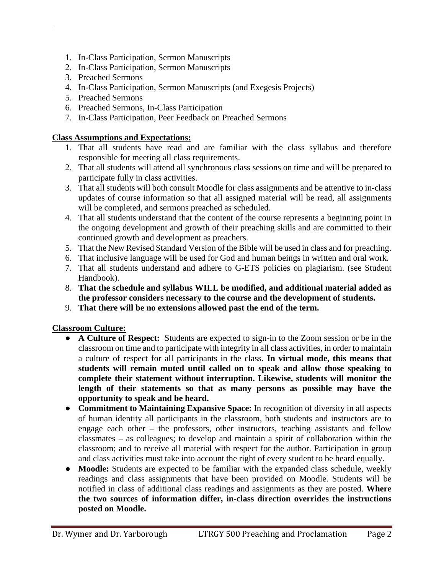- 1. In-Class Participation, Sermon Manuscripts
- 2. In-Class Participation, Sermon Manuscripts
- 3. Preached Sermons

`

- 4. In-Class Participation, Sermon Manuscripts (and Exegesis Projects)
- 5. Preached Sermons
- 6. Preached Sermons, In-Class Participation
- 7. In-Class Participation, Peer Feedback on Preached Sermons

#### **Class Assumptions and Expectations:**

- 1. That all students have read and are familiar with the class syllabus and therefore responsible for meeting all class requirements.
- 2. That all students will attend all synchronous class sessions on time and will be prepared to participate fully in class activities.
- 3. That all students will both consult Moodle for class assignments and be attentive to in-class updates of course information so that all assigned material will be read, all assignments will be completed, and sermons preached as scheduled.
- 4. That all students understand that the content of the course represents a beginning point in the ongoing development and growth of their preaching skills and are committed to their continued growth and development as preachers.
- 5. That the New Revised Standard Version of the Bible will be used in class and for preaching.
- 6. That inclusive language will be used for God and human beings in written and oral work.
- 7. That all students understand and adhere to G-ETS policies on plagiarism. (see Student Handbook).
- 8. **That the schedule and syllabus WILL be modified, and additional material added as the professor considers necessary to the course and the development of students.**
- 9. **That there will be no extensions allowed past the end of the term.**

## **Classroom Culture:**

- **A Culture of Respect:** Students are expected to sign-in to the Zoom session or be in the classroom on time and to participate with integrity in all class activities, in order to maintain a culture of respect for all participants in the class. **In virtual mode, this means that students will remain muted until called on to speak and allow those speaking to complete their statement without interruption. Likewise, students will monitor the length of their statements so that as many persons as possible may have the opportunity to speak and be heard.**
- **Commitment to Maintaining Expansive Space:** In recognition of diversity in all aspects of human identity all participants in the classroom, both students and instructors are to engage each other – the professors, other instructors, teaching assistants and fellow classmates – as colleagues; to develop and maintain a spirit of collaboration within the classroom; and to receive all material with respect for the author. Participation in group and class activities must take into account the right of every student to be heard equally.
- **Moodle:** Students are expected to be familiar with the expanded class schedule, weekly readings and class assignments that have been provided on Moodle. Students will be notified in class of additional class readings and assignments as they are posted. **Where the two sources of information differ, in-class direction overrides the instructions posted on Moodle.**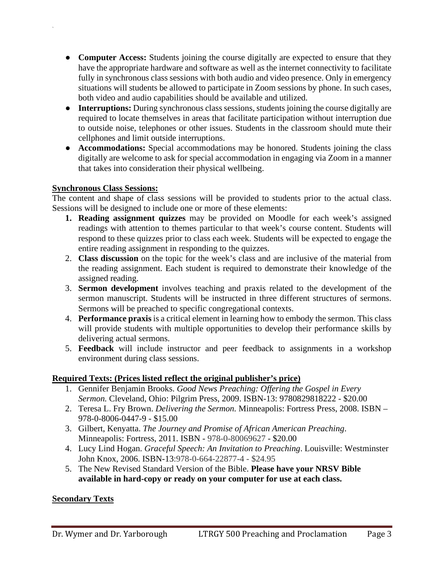- **Computer Access:** Students joining the course digitally are expected to ensure that they have the appropriate hardware and software as well as the internet connectivity to facilitate fully in synchronous class sessions with both audio and video presence. Only in emergency situations will students be allowed to participate in Zoom sessions by phone. In such cases, both video and audio capabilities should be available and utilized.
- **Interruptions:** During synchronous class sessions, students joining the course digitally are required to locate themselves in areas that facilitate participation without interruption due to outside noise, telephones or other issues. Students in the classroom should mute their cellphones and limit outside interruptions.
- **Accommodations:** Special accommodations may be honored. Students joining the class digitally are welcome to ask for special accommodation in engaging via Zoom in a manner that takes into consideration their physical wellbeing.

## **Synchronous Class Sessions:**

`

The content and shape of class sessions will be provided to students prior to the actual class. Sessions will be designed to include one or more of these elements:

- **1. Reading assignment quizzes** may be provided on Moodle for each week's assigned readings with attention to themes particular to that week's course content. Students will respond to these quizzes prior to class each week. Students will be expected to engage the entire reading assignment in responding to the quizzes.
- 2. **Class discussion** on the topic for the week's class and are inclusive of the material from the reading assignment. Each student is required to demonstrate their knowledge of the assigned reading.
- 3. **Sermon development** involves teaching and praxis related to the development of the sermon manuscript. Students will be instructed in three different structures of sermons. Sermons will be preached to specific congregational contexts.
- 4. **Performance praxis** is a critical element in learning how to embody the sermon. This class will provide students with multiple opportunities to develop their performance skills by delivering actual sermons.
- 5. **Feedback** will include instructor and peer feedback to assignments in a workshop environment during class sessions.

## **Required Texts: (Prices listed reflect the original publisher's price)**

- 1. Gennifer Benjamin Brooks. *Good News Preaching: Offering the Gospel in Every Sermon.* Cleveland, Ohio: Pilgrim Press, 2009. ISBN-13: 9780829818222 - \$20.00
- 2. Teresa L. Fry Brown. *Delivering the Sermon.* Minneapolis: Fortress Press, 2008. ISBN 978-0-8006-0447-9 - \$15.00
- 3. Gilbert, Kenyatta. *The Journey and Promise of African American Preaching*. Minneapolis: Fortress, 2011. ISBN - 978-0-80069627 - \$20.00
- 4. Lucy Lind Hogan. *Graceful Speech: An Invitation to Preaching*. Louisville: Westminster John Knox, 2006. ISBN-13:978-0-664-22877-4 - \$24.95
- 5. The New Revised Standard Version of the Bible. **Please have your NRSV Bible available in hard-copy or ready on your computer for use at each class.**

## **Secondary Texts**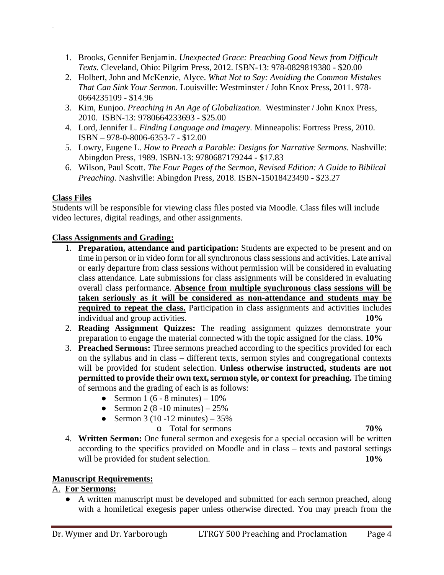- 1. Brooks, Gennifer Benjamin. *Unexpected Grace: Preaching Good News from Difficult Texts.* Cleveland, Ohio: Pilgrim Press, 2012. ISBN-13: 978-0829819380 - \$20.00
- 2. Holbert, John and McKenzie, Alyce. *What Not to Say: Avoiding the Common Mistakes That Can Sink Your Sermon.* Louisville: Westminster / John Knox Press, 2011. 978- 0664235109 - \$14.96
- 3. Kim, Eunjoo. *Preaching in An Age of Globalization.* Westminster / John Knox Press, 2010. ISBN-13: 9780664233693 - \$25.00
- 4. Lord, Jennifer L. *Finding Language and Imagery.* Minneapolis: Fortress Press, 2010. ISBN – 978-0-8006-6353-7 - \$12.00
- 5. Lowry, Eugene L. *How to Preach a Parable: Designs for Narrative Sermons.* Nashville: Abingdon Press, 1989. ISBN-13: 9780687179244 - \$17.83
- 6. Wilson, Paul Scott. *The Four Pages of the Sermon, Revised Edition: A Guide to Biblical Preaching.* Nashville: Abingdon Press, 2018. ISBN-15018423490 - \$23.27

## **Class Files**

`

Students will be responsible for viewing class files posted via Moodle. Class files will include video lectures, digital readings, and other assignments.

## **Class Assignments and Grading:**

- 1. **Preparation, attendance and participation:** Students are expected to be present and on time in person or in video form for all synchronous class sessions and activities. Late arrival or early departure from class sessions without permission will be considered in evaluating class attendance. Late submissions for class assignments will be considered in evaluating overall class performance. **Absence from multiple synchronous class sessions will be taken seriously as it will be considered as non-attendance and students may be required to repeat the class.** Participation in class assignments and activities includes individual and group activities. **10%**
- 2. **Reading Assignment Quizzes:** The reading assignment quizzes demonstrate your preparation to engage the material connected with the topic assigned for the class. **10%**
- 3. **Preached Sermons:** Three sermons preached according to the specifics provided for each on the syllabus and in class – different texts, sermon styles and congregational contexts will be provided for student selection. **Unless otherwise instructed, students are not permitted to provide their own text, sermon style, or context for preaching.** The timing of sermons and the grading of each is as follows:
	- Sermon  $1 (6 8 \text{ minutes}) 10\%$
	- Sermon 2 (8 -10 minutes)  $25%$
	- Sermon 3 (10 -12 minutes)  $35\%$

o Total for sermons **70%**

4. **Written Sermon:** One funeral sermon and exegesis for a special occasion will be written according to the specifics provided on Moodle and in class – texts and pastoral settings will be provided for student selection. **10%** 

## **Manuscript Requirements:**

## A. **For Sermons:**

● A written manuscript must be developed and submitted for each sermon preached, along with a homiletical exegesis paper unless otherwise directed. You may preach from the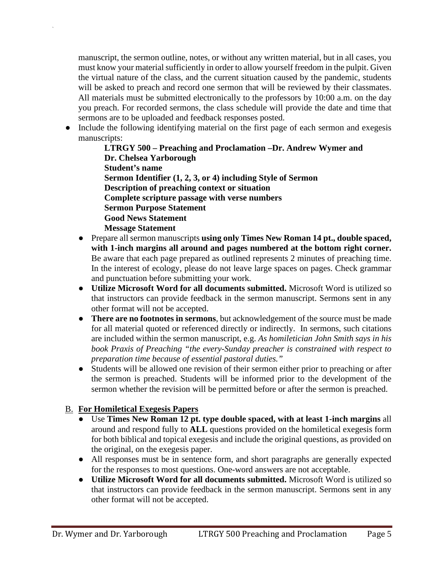manuscript, the sermon outline, notes, or without any written material, but in all cases, you must know your material sufficiently in order to allow yourself freedom in the pulpit. Given the virtual nature of the class, and the current situation caused by the pandemic, students will be asked to preach and record one sermon that will be reviewed by their classmates. All materials must be submitted electronically to the professors by 10:00 a.m. on the day you preach. For recorded sermons, the class schedule will provide the date and time that sermons are to be uploaded and feedback responses posted.

Include the following identifying material on the first page of each sermon and exegesis manuscripts:

**LTRGY 500 – Preaching and Proclamation –Dr. Andrew Wymer and Dr. Chelsea Yarborough Student's name Sermon Identifier (1, 2, 3, or 4) including Style of Sermon Description of preaching context or situation Complete scripture passage with verse numbers Sermon Purpose Statement Good News Statement Message Statement** 

- Prepare all sermon manuscripts **using only Times New Roman 14 pt., double spaced, with 1-inch margins all around and pages numbered at the bottom right corner.**  Be aware that each page prepared as outlined represents 2 minutes of preaching time. In the interest of ecology, please do not leave large spaces on pages. Check grammar and punctuation before submitting your work.
- **Utilize Microsoft Word for all documents submitted.** Microsoft Word is utilized so that instructors can provide feedback in the sermon manuscript. Sermons sent in any other format will not be accepted.
- **There are no footnotes in sermons**, but acknowledgement of the source must be made for all material quoted or referenced directly or indirectly. In sermons, such citations are included within the sermon manuscript, e.g. *As homiletician John Smith says in his book Praxis of Preaching "the every-Sunday preacher is constrained with respect to preparation time because of essential pastoral duties."*
- Students will be allowed one revision of their sermon either prior to preaching or after the sermon is preached. Students will be informed prior to the development of the sermon whether the revision will be permitted before or after the sermon is preached.

# B. **For Homiletical Exegesis Papers**

`

- Use **Times New Roman 12 pt. type double spaced, with at least 1-inch margins** all around and respond fully to **ALL** questions provided on the homiletical exegesis form for both biblical and topical exegesis and include the original questions, as provided on the original, on the exegesis paper.
- All responses must be in sentence form, and short paragraphs are generally expected for the responses to most questions. One-word answers are not acceptable.
- **Utilize Microsoft Word for all documents submitted.** Microsoft Word is utilized so that instructors can provide feedback in the sermon manuscript. Sermons sent in any other format will not be accepted.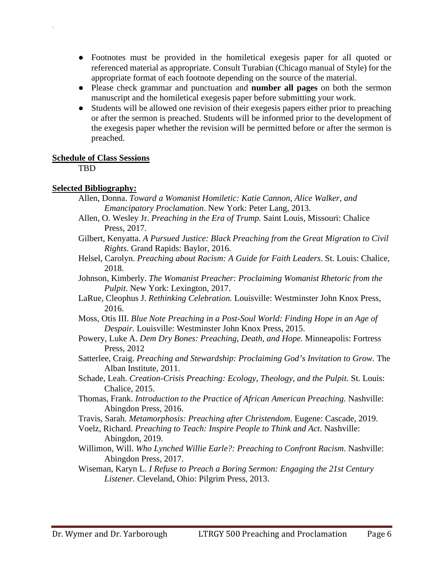- Footnotes must be provided in the homiletical exegesis paper for all quoted or referenced material as appropriate. Consult Turabian (Chicago manual of Style) for the appropriate format of each footnote depending on the source of the material.
- Please check grammar and punctuation and **number all pages** on both the sermon manuscript and the homiletical exegesis paper before submitting your work.
- Students will be allowed one revision of their exegesis papers either prior to preaching or after the sermon is preached. Students will be informed prior to the development of the exegesis paper whether the revision will be permitted before or after the sermon is preached.

#### **Schedule of Class Sessions**

TBD

`

## **Selected Bibliography:**

- Allen, Donna. *Toward a Womanist Homiletic: Katie Cannon, Alice Walker, and Emancipatory Proclamation*. New York: Peter Lang, 2013.
- Allen, O. Wesley Jr. *Preaching in the Era of Trump.* Saint Louis, Missouri: Chalice Press, 2017.
- Gilbert, Kenyatta. *A Pursued Justice: Black Preaching from the Great Migration to Civil Rights*. Grand Rapids: Baylor, 2016.
- Helsel, Carolyn. *Preaching about Racism: A Guide for Faith Leaders*. St. Louis: Chalice, 2018.
- Johnson, Kimberly. *The Womanist Preacher: Proclaiming Womanist Rhetoric from the Pulpit*. New York: Lexington, 2017.
- LaRue, Cleophus J. *Rethinking Celebration.* Louisville: Westminster John Knox Press, 2016.
- Moss, Otis III. *Blue Note Preaching in a Post-Soul World: Finding Hope in an Age of Despair.* Louisville: Westminster John Knox Press, 2015.
- Powery, Luke A. *Dem Dry Bones: Preaching, Death, and Hope.* Minneapolis: Fortress Press, 2012
- Satterlee, Craig. *Preaching and Stewardship: Proclaiming God's Invitation to Grow.* The Alban Institute, 2011.
- Schade, Leah. *Creation-Crisis Preaching: Ecology, Theology, and the Pulpit.* St. Louis: Chalice, 2015.
- Thomas, Frank. *Introduction to the Practice of African American Preaching*. Nashville: Abingdon Press, 2016.
- Travis, Sarah. *Metamorphosis: Preaching after Christendom*. Eugene: Cascade, 2019.
- Voelz, Richard. *Preaching to Teach: Inspire People to Think and Act*. Nashville: Abingdon, 2019.
- Willimon, Will. *Who Lynched Willie Earle?: Preaching to Confront Racism*. Nashville: Abingdon Press, 2017.
- Wiseman, Karyn L. *I Refuse to Preach a Boring Sermon: Engaging the 21st Century Listener.* Cleveland, Ohio: Pilgrim Press, 2013.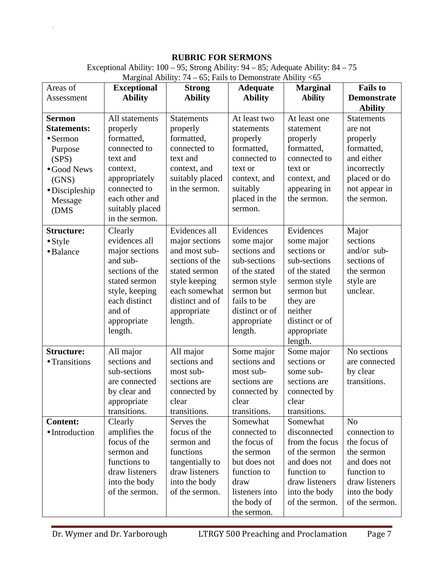## **RUBRIC FOR SERMONS**

Exceptional Ability: 100 – 95; Strong Ability: 94 – 85; Adequate Ability: 84 – 75

| Areas of           | <b>Exceptional</b> | <b>Strong</b>     | <b>Adequate</b> | <b>Marginal</b> | <b>Fails to</b>    |
|--------------------|--------------------|-------------------|-----------------|-----------------|--------------------|
| Assessment         | <b>Ability</b>     | <b>Ability</b>    | <b>Ability</b>  | <b>Ability</b>  | <b>Demonstrate</b> |
|                    |                    |                   |                 |                 | <b>Ability</b>     |
| <b>Sermon</b>      | All statements     | <b>Statements</b> | At least two    | At least one    | <b>Statements</b>  |
| <b>Statements:</b> | properly           | properly          | statements      | statement       | are not            |
| $\bullet$ Sermon   | formatted,         | formatted,        | properly        | properly        | properly           |
| Purpose            | connected to       | connected to      | formatted,      | formatted,      | formatted,         |
| (SPS)              | text and           | text and          | connected to    | connected to    | and either         |
| • Good News        | context,           | context, and      | text or         | text or         | incorrectly        |
| (GNS)              | appropriately      | suitably placed   | context, and    | context, and    | placed or do       |
| · Discipleship     | connected to       | in the sermon.    | suitably        | appearing in    | not appear in      |
| Message            | each other and     |                   | placed in the   | the sermon.     | the sermon.        |
| (DMS               | suitably placed    |                   | sermon.         |                 |                    |
|                    | in the sermon.     |                   |                 |                 |                    |
| <b>Structure:</b>  | Clearly            | Evidences all     | Evidences       | Evidences       | Major              |
| $\bullet$ Style    | evidences all      | major sections    | some major      | some major      | sections           |
| · Balance          | major sections     | and most sub-     | sections and    | sections or     | and/or sub-        |
|                    | and sub-           | sections of the   | sub-sections    | sub-sections    | sections of        |
|                    | sections of the    | stated sermon     | of the stated   | of the stated   | the sermon         |
|                    | stated sermon      | style keeping     | sermon style    | sermon style    | style are          |
|                    | style, keeping     | each somewhat     | sermon but      | sermon but      | unclear.           |
|                    | each distinct      | distinct and of   | fails to be     | they are        |                    |
|                    | and of             | appropriate       | distinct or of  | neither         |                    |
|                    | appropriate        | length.           | appropriate     | distinct or of  |                    |
|                    | length.            |                   | length.         | appropriate     |                    |
|                    |                    |                   |                 | length.         |                    |
| <b>Structure:</b>  | All major          | All major         | Some major      | Some major      | No sections        |
| • Transitions      | sections and       | sections and      | sections and    | sections or     | are connected      |
|                    | sub-sections       | most sub-         | most sub-       | some sub-       | by clear           |
|                    | are connected      | sections are      | sections are    | sections are    | transitions.       |
|                    | by clear and       | connected by      | connected by    | connected by    |                    |
|                    | appropriate        | clear             | clear           | clear           |                    |
|                    | transitions.       | transitions.      | transitions.    | transitions.    |                    |
| <b>Content:</b>    | Clearly            | Serves the        | Somewhat        | Somewhat        | N <sub>o</sub>     |
| · Introduction     | amplifies the      | focus of the      | connected to    | disconnected    | connection to      |
|                    | focus of the       | sermon and        | the focus of    | from the focus  | the focus of       |
|                    | sermon and         | functions         | the sermon      | of the sermon   | the sermon         |
|                    | functions to       | tangentially to   | but does not    | and does not    | and does not       |
|                    | draw listeners     | draw listeners    | function to     | function to     | function to        |
|                    | into the body      | into the body     | draw            | draw listeners  | draw listeners     |
|                    | of the sermon.     | of the sermon.    | listeners into  | into the body   | into the body      |
|                    |                    |                   | the body of     | of the sermon.  | of the sermon.     |
|                    |                    |                   | the sermon.     |                 |                    |

Marginal Ability:  $74 - 65$ ; Fails to Demonstrate Ability <65

`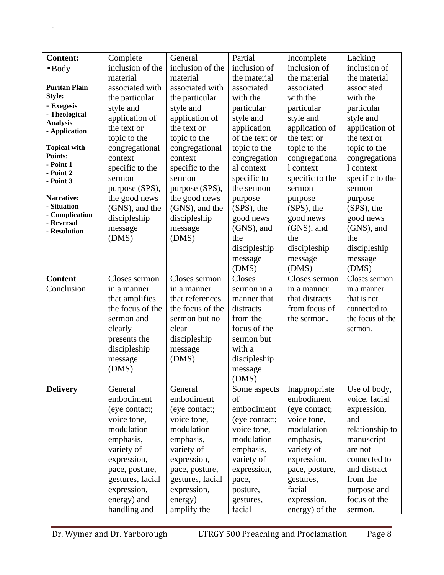| <b>Content:</b>                  | Complete         | General          | Partial        | Incomplete      | Lacking          |
|----------------------------------|------------------|------------------|----------------|-----------------|------------------|
| $\bullet$ Body                   | inclusion of the | inclusion of the | inclusion of   | inclusion of    | inclusion of     |
|                                  | material         | material         | the material   | the material    | the material     |
| <b>Puritan Plain</b>             | associated with  | associated with  | associated     | associated      | associated       |
| Style:                           | the particular   | the particular   | with the       | with the        | with the         |
| - Exegesis                       | style and        | style and        | particular     | particular      | particular       |
| - Theological                    | application of   | application of   | style and      | style and       | style and        |
| <b>Analysis</b><br>- Application | the text or      | the text or      | application    | application of  | application of   |
|                                  | topic to the     | topic to the     | of the text or | the text or     | the text or      |
| <b>Topical with</b>              | congregational   | congregational   | topic to the   | topic to the    | topic to the     |
| Points:                          | context          | context          | congregation   | congregationa   | congregationa    |
| - Point 1                        | specific to the  | specific to the  | al context     | 1 context       | 1 context        |
| - Point 2<br>- Point 3           | sermon           | sermon           | specific to    | specific to the | specific to the  |
|                                  | purpose (SPS),   | purpose (SPS),   | the sermon     | sermon          | sermon           |
| Narrative:                       | the good news    | the good news    | purpose        | purpose         | purpose          |
| - Situation                      | (GNS), and the   | (GNS), and the   | (SPS), the     | (SPS), the      | (SPS), the       |
| - Complication<br>- Reversal     | discipleship     | discipleship     | good news      | good news       | good news        |
| - Resolution                     | message          | message          | (GNS), and     | $(GNS)$ , and   | (GNS), and       |
|                                  | (DMS)            | (DMS)            | the            | the             | the              |
|                                  |                  |                  | discipleship   | discipleship    | discipleship     |
|                                  |                  |                  | message        | message         | message          |
|                                  |                  |                  | (DMS)          | (DMS)           | (DMS)            |
| <b>Content</b>                   | Closes sermon    | Closes sermon    | Closes         | Closes sermon   | Closes sermon    |
| Conclusion                       | in a manner      | in a manner      | sermon in a    | in a manner     | in a manner      |
|                                  | that amplifies   | that references  | manner that    | that distracts  | that is not      |
|                                  | the focus of the | the focus of the | distracts      | from focus of   | connected to     |
|                                  | sermon and       | sermon but no    | from the       | the sermon.     | the focus of the |
|                                  | clearly          | clear            | focus of the   |                 | sermon.          |
|                                  | presents the     | discipleship     | sermon but     |                 |                  |
|                                  | discipleship     | message          | with a         |                 |                  |
|                                  | message          | $(DMS)$ .        | discipleship   |                 |                  |
|                                  | (DMS).           |                  | message        |                 |                  |
|                                  |                  |                  | (DMS).         |                 |                  |
| <b>Delivery</b>                  | General          | General          | Some aspects   | Inappropriate   | Use of body,     |
|                                  | embodiment       | embodiment       | of             | embodiment      | voice, facial    |
|                                  | (eye contact;    | (eye contact;    | embodiment     | (eye contact;   | expression,      |
|                                  | voice tone,      | voice tone,      | (eye contact;  | voice tone,     | and              |
|                                  | modulation       | modulation       | voice tone,    | modulation      | relationship to  |
|                                  | emphasis,        | emphasis,        | modulation     | emphasis,       | manuscript       |
|                                  | variety of       | variety of       | emphasis,      | variety of      | are not          |
|                                  | expression,      | expression,      | variety of     | expression,     | connected to     |
|                                  | pace, posture,   | pace, posture,   | expression,    | pace, posture,  | and distract     |
|                                  | gestures, facial | gestures, facial | pace,          | gestures,       | from the         |
|                                  | expression,      | expression,      | posture,       | facial          | purpose and      |
|                                  | energy) and      | energy)          | gestures,      | expression,     | focus of the     |
|                                  | handling and     | amplify the      | facial         | energy) of the  | sermon.          |

 $\mathbf{x} = \mathbf{y} \in \mathbb{R}^{n \times n}$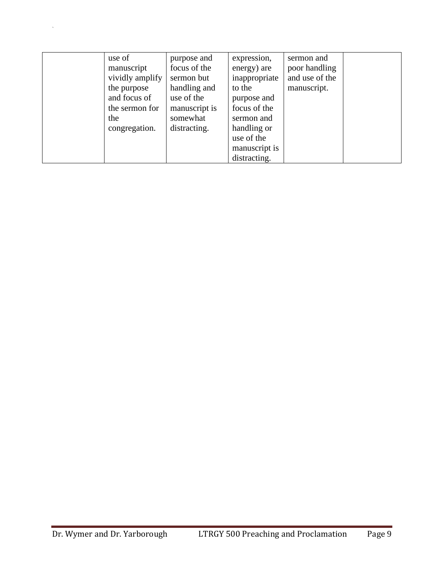| use of<br>manuscript<br>vividly amplify<br>the purpose<br>and focus of<br>the sermon for<br>the<br>congregation. | purpose and<br>focus of the<br>sermon but<br>handling and<br>use of the<br>manuscript is<br>somewhat<br>distracting. | expression,<br>energy) are<br>inappropriate<br>to the<br>purpose and<br>focus of the<br>sermon and<br>handling or<br>use of the | sermon and<br>poor handling<br>and use of the<br>manuscript. |  |
|------------------------------------------------------------------------------------------------------------------|----------------------------------------------------------------------------------------------------------------------|---------------------------------------------------------------------------------------------------------------------------------|--------------------------------------------------------------|--|
|                                                                                                                  |                                                                                                                      | manuscript is<br>distracting.                                                                                                   |                                                              |  |

 $\mathbf{x} = \mathbf{y} \in \mathbb{R}^{n \times n}$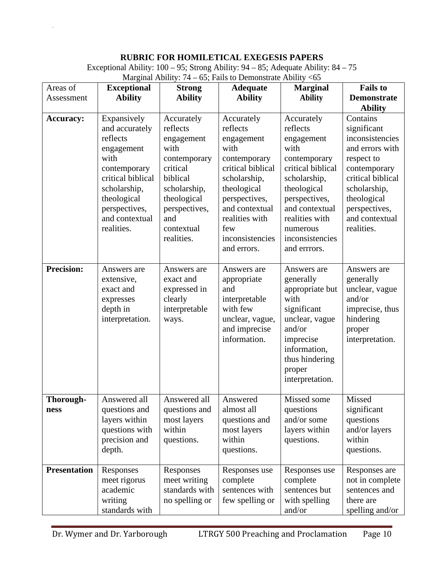### **RUBRIC FOR HOMILETICAL EXEGESIS PAPERS**

Exceptional Ability: 100 – 95; Strong Ability: 94 – 85; Adequate Ability: 84 – 75 Marginal Ability:  $74 - 65$ ; Fails to Demonstrate Ability <65

| Areas of<br>Assessment | <b>Exceptional</b><br><b>Ability</b>                                                                                                                                                 | <b>Strong</b><br><b>Ability</b>                                                                                                                                         | <b>Adequate</b><br><b>Ability</b>                                                                                                                                                                              | <b>Marginal</b><br><b>Ability</b>                                                                                                                                                                                    | <b>Fails to</b><br><b>Demonstrate</b><br><b>Ability</b>                                                                                                                                          |
|------------------------|--------------------------------------------------------------------------------------------------------------------------------------------------------------------------------------|-------------------------------------------------------------------------------------------------------------------------------------------------------------------------|----------------------------------------------------------------------------------------------------------------------------------------------------------------------------------------------------------------|----------------------------------------------------------------------------------------------------------------------------------------------------------------------------------------------------------------------|--------------------------------------------------------------------------------------------------------------------------------------------------------------------------------------------------|
| <b>Accuracy:</b>       | Expansively<br>and accurately<br>reflects<br>engagement<br>with<br>contemporary<br>critical biblical<br>scholarship,<br>theological<br>perspectives,<br>and contextual<br>realities. | Accurately<br>reflects<br>engagement<br>with<br>contemporary<br>critical<br>biblical<br>scholarship,<br>theological<br>perspectives,<br>and<br>contextual<br>realities. | Accurately<br>reflects<br>engagement<br>with<br>contemporary<br>critical biblical<br>scholarship,<br>theological<br>perspectives,<br>and contextual<br>realities with<br>few<br>inconsistencies<br>and errors. | Accurately<br>reflects<br>engagement<br>with<br>contemporary<br>critical biblical<br>scholarship,<br>theological<br>perspectives,<br>and contextual<br>realities with<br>numerous<br>inconsistencies<br>and errrors. | Contains<br>significant<br>inconsistencies<br>and errors with<br>respect to<br>contemporary<br>critical biblical<br>scholarship,<br>theological<br>perspectives,<br>and contextual<br>realities. |
| <b>Precision:</b>      | Answers are<br>extensive,<br>exact and<br>expresses<br>depth in<br>interpretation.                                                                                                   | Answers are<br>exact and<br>expressed in<br>clearly<br>interpretable<br>ways.                                                                                           | Answers are<br>appropriate<br>and<br>interpretable<br>with few<br>unclear, vague,<br>and imprecise<br>information.                                                                                             | Answers are<br>generally<br>appropriate but<br>with<br>significant<br>unclear, vague<br>and/or<br>imprecise<br>information,<br>thus hindering<br>proper<br>interpretation.                                           | Answers are<br>generally<br>unclear, vague<br>and/or<br>imprecise, thus<br>hindering<br>proper<br>interpretation.                                                                                |
| Thorough-<br>ness      | Answered all<br>questions and<br>layers within<br>questions with<br>precision and<br>depth.                                                                                          | Answered all<br>questions and<br>most layers<br>within<br>questions.                                                                                                    | Answered<br>almost all<br>questions and<br>most layers<br>within<br>questions.                                                                                                                                 | Missed some<br>questions<br>and/or some<br>layers within<br>questions.                                                                                                                                               | Missed<br>significant<br>questions<br>and/or layers<br>within<br>questions.                                                                                                                      |
| <b>Presentation</b>    | Responses<br>meet rigorus<br>academic<br>writing<br>standards with                                                                                                                   | Responses<br>meet writing<br>standards with<br>no spelling or                                                                                                           | Responses use<br>complete<br>sentences with<br>few spelling or                                                                                                                                                 | Responses use<br>complete<br>sentences but<br>with spelling<br>and/or                                                                                                                                                | Responses are<br>not in complete<br>sentences and<br>there are<br>spelling and/or                                                                                                                |

 $\ddot{\phantom{0}}$